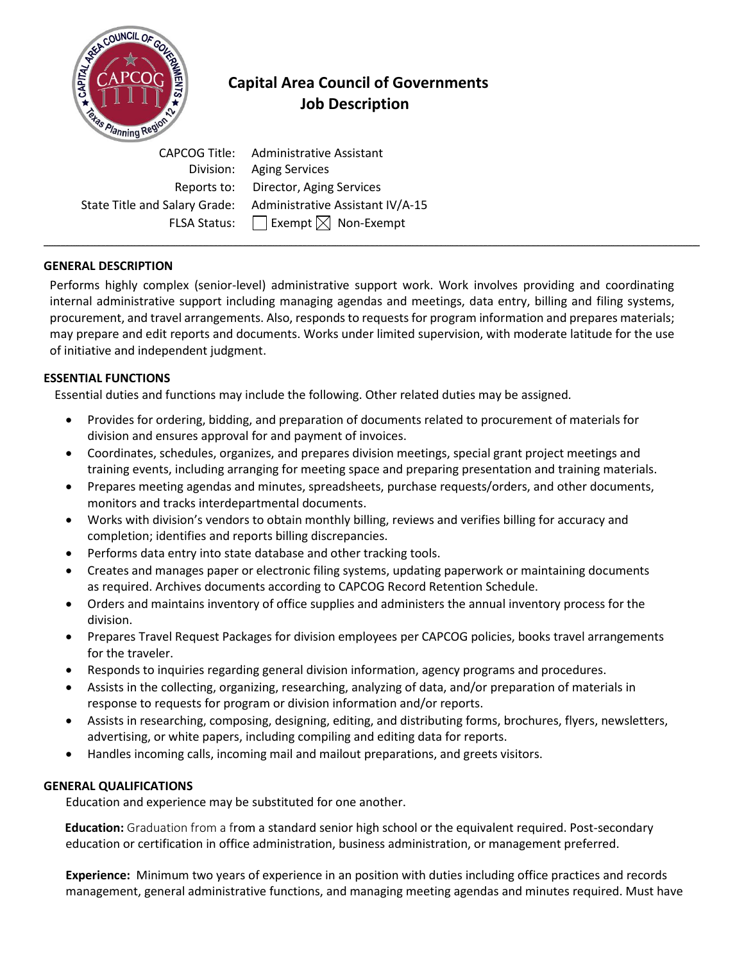

# **Capital Area Council of Governments Job Description**

 CAPCOG Title: Administrative Assistant Division: Aging Services Reports to:Director, Aging Services State Title and Salary Grade: Administrative Assistant IV/A-15 FLSA Status:  $\Box$  Exempt  $\boxtimes$  Non-Exempt

# **GENERAL DESCRIPTION**

Performs highly complex (senior-level) administrative support work. Work involves providing and coordinating internal administrative support including managing agendas and meetings, data entry, billing and filing systems, procurement, and travel arrangements. Also, responds to requests for program information and prepares materials; may prepare and edit reports and documents. Works under limited supervision, with moderate latitude for the use of initiative and independent judgment.

**\_\_\_\_\_\_\_\_\_\_\_\_\_\_\_\_\_\_\_\_\_\_\_\_\_\_\_\_\_\_\_\_\_\_\_\_\_\_\_\_\_\_\_\_\_\_\_\_\_\_\_\_\_\_\_\_\_\_\_\_\_\_\_\_\_\_\_\_\_\_\_\_\_\_\_\_\_\_\_\_\_\_\_\_\_\_\_\_\_\_\_\_\_\_\_\_\_\_\_\_\_\_\_\_\_\_\_\_\_\_\_\_\_\_\_\_\_\_\_\_\_\_\_\_\_\_\_\_\_\_\_\_\_\_\_\_\_\_\_\_\_\_\_\_\_\_\_\_\_\_\_\_\_\_\_\_\_\_\_\_\_\_\_\_\_\_\_\_\_\_\_\_\_\_\_\_\_\_\_\_\_\_\_\_\_\_\_\_\_\_\_\_\_\_\_\_\_\_\_\_\_\_\_\_\_\_\_\_\_\_\_\_\_\_\_\_\_\_\_\_\_\_\_\_\_\_\_\_\_\_\_\_\_\_\_\_\_\_\_\_\_\_\_\_\_\_\_\_\_\_\_\_\_\_\_\_\_\_\_\_\_\_\_\_\_\_\_\_\_\_\_\_\_\_\_\_\_\_\_\_\_\_\_\_\_\_\_\_\_\_\_\_\_\_\_\_\_\_\_\_\_\_\_\_\_\_\_\_\_\_\_\_\_\_\_\_\_\_\_\_\_\_\_\_\_\_\_\_\_\_\_\_\_\_\_\_\_\_\_\_\_\_\_\_\_\_\_\_\_\_\_\_\_\_\_\_\_\_\_\_\_\_\_\_\_\_\_\_\_\_\_\_\_\_\_\_\_\_\_\_\_\_\_\_\_\_\_\_\_\_\_\_\_\_\_\_\_\_\_\_\_\_\_\_\_\_\_\_\_\_\_\_\_\_\_\_\_\_\_\_\_\_\_\_\_\_\_\_\_\_\_\_\_\_\_\_\_\_\_\_\_\_\_\_\_\_\_\_\_\_\_\_\_\_\_\_\_\_\_\_\_\_\_\_\_\_\_\_\_\_\_\_\_\_\_\_\_\_\_\_\_\_\_\_\_\_\_\_\_\_\_\_\_\_\_\_\_\_\_\_\_\_\_\_\_\_\_\_\_\_\_\_\_\_\_\_\_\_\_\_\_\_\_\_\_\_\_\_\_\_\_\_\_\_\_\_\_\_\_\_\_\_**

# **ESSENTIAL FUNCTIONS**

Essential duties and functions may include the following. Other related duties may be assigned*.*

- Provides for ordering, bidding, and preparation of documents related to procurement of materials for division and ensures approval for and payment of invoices.
- Coordinates, schedules, organizes, and prepares division meetings, special grant project meetings and training events, including arranging for meeting space and preparing presentation and training materials.
- Prepares meeting agendas and minutes, spreadsheets, purchase requests/orders, and other documents, monitors and tracks interdepartmental documents.
- Works with division's vendors to obtain monthly billing, reviews and verifies billing for accuracy and completion; identifies and reports billing discrepancies.
- Performs data entry into state database and other tracking tools.
- Creates and manages paper or electronic filing systems, updating paperwork or maintaining documents as required. Archives documents according to CAPCOG Record Retention Schedule.
- Orders and maintains inventory of office supplies and administers the annual inventory process for the division.
- Prepares Travel Request Packages for division employees per CAPCOG policies, books travel arrangements for the traveler.
- Responds to inquiries regarding general division information, agency programs and procedures.
- Assists in the collecting, organizing, researching, analyzing of data, and/or preparation of materials in response to requests for program or division information and/or reports.
- Assists in researching, composing, designing, editing, and distributing forms, brochures, flyers, newsletters, advertising, or white papers, including compiling and editing data for reports.
- Handles incoming calls, incoming mail and mailout preparations, and greets visitors.

### **GENERAL QUALIFICATIONS**

Education and experience may be substituted for one another.

 **Education:** Graduation from a from a standard senior high school or the equivalent required. Post-secondary education or certification in office administration, business administration, or management preferred.

**Experience:** Minimum two years of experience in an position with duties including office practices and records management, general administrative functions, and managing meeting agendas and minutes required. Must have